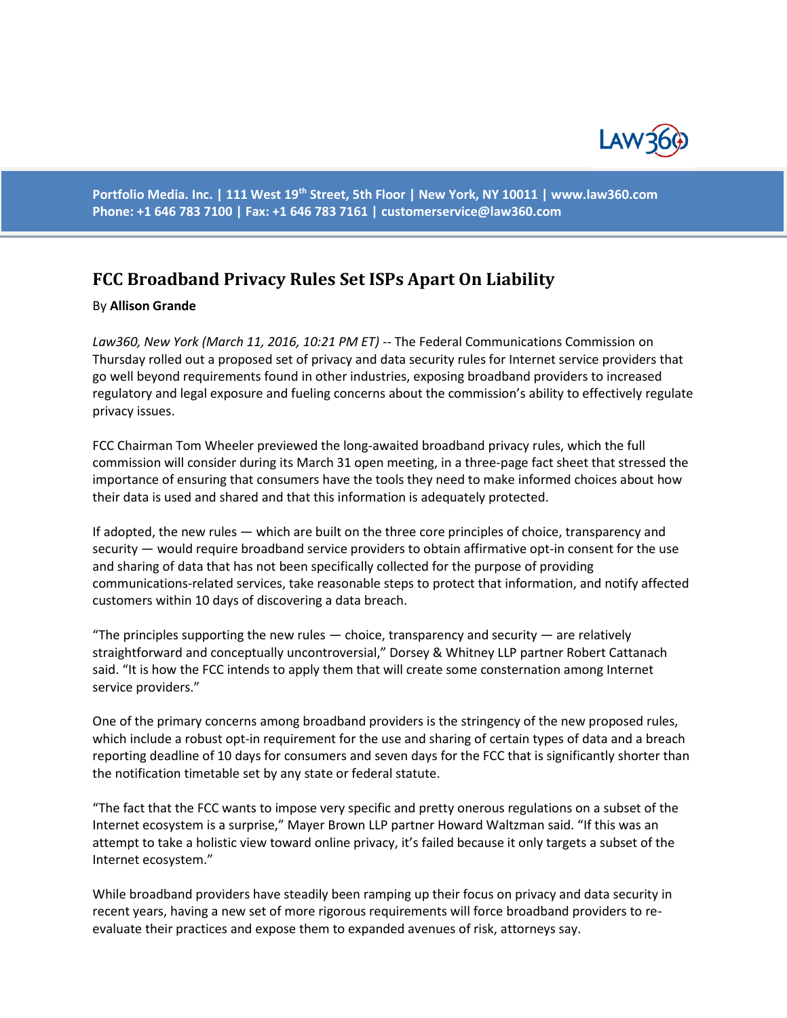

**Portfolio Media. Inc. | 111 West 19th Street, 5th Floor | New York, NY 10011 | www.law360.com Phone: +1 646 783 7100 | Fax: +1 646 783 7161 | [customerservice@law360.com](mailto:customerservice@law360.com)**

## **FCC Broadband Privacy Rules Set ISPs Apart On Liability**

## By **Allison Grande**

Law360, New York (March 11, 2016, 10:21 PM ET) -- The Federal Communications Commission on Thursday rolled out a proposed set of privacy and data security rules for Internet service providers that go well beyond requirements found in other industries, exposing broadband providers to increased regulatory and legal exposure and fueling concerns about the commission's ability to effectively regulate privacy issues.

FCC Chairman Tom Wheeler previewed the long-awaited broadband privacy rules, which the full commission will consider during its March 31 open meeting, in a three-page fact sheet that stressed the importance of ensuring that consumers have the tools they need to make informed choices about how their data is used and shared and that this information is adequately protected.

If adopted, the new rules — which are built on the three core principles of choice, transparency and security — would require broadband service providers to obtain affirmative opt-in consent for the use and sharing of data that has not been specifically collected for the purpose of providing communications-related services, take reasonable steps to protect that information, and notify affected customers within 10 days of discovering a data breach.

"The principles supporting the new rules  $-$  choice, transparency and security  $-$  are relatively straightforward and conceptually uncontroversial," Dorsey & Whitney LLP partner Robert Cattanach said. "It is how the FCC intends to apply them that will create some consternation among Internet service providers."

One of the primary concerns among broadband providers is the stringency of the new proposed rules, which include a robust opt-in requirement for the use and sharing of certain types of data and a breach reporting deadline of 10 days for consumers and seven days for the FCC that is significantly shorter than the notification timetable set by any state or federal statute.

"The fact that the FCC wants to impose very specific and pretty onerous regulations on a subset of the Internet ecosystem is a surprise," Mayer Brown LLP partner Howard Waltzman said. "If this was an attempt to take a holistic view toward online privacy, it's failed because it only targets a subset of the Internet ecosystem."

While broadband providers have steadily been ramping up their focus on privacy and data security in recent years, having a new set of more rigorous requirements will force broadband providers to reevaluate their practices and expose them to expanded avenues of risk, attorneys say.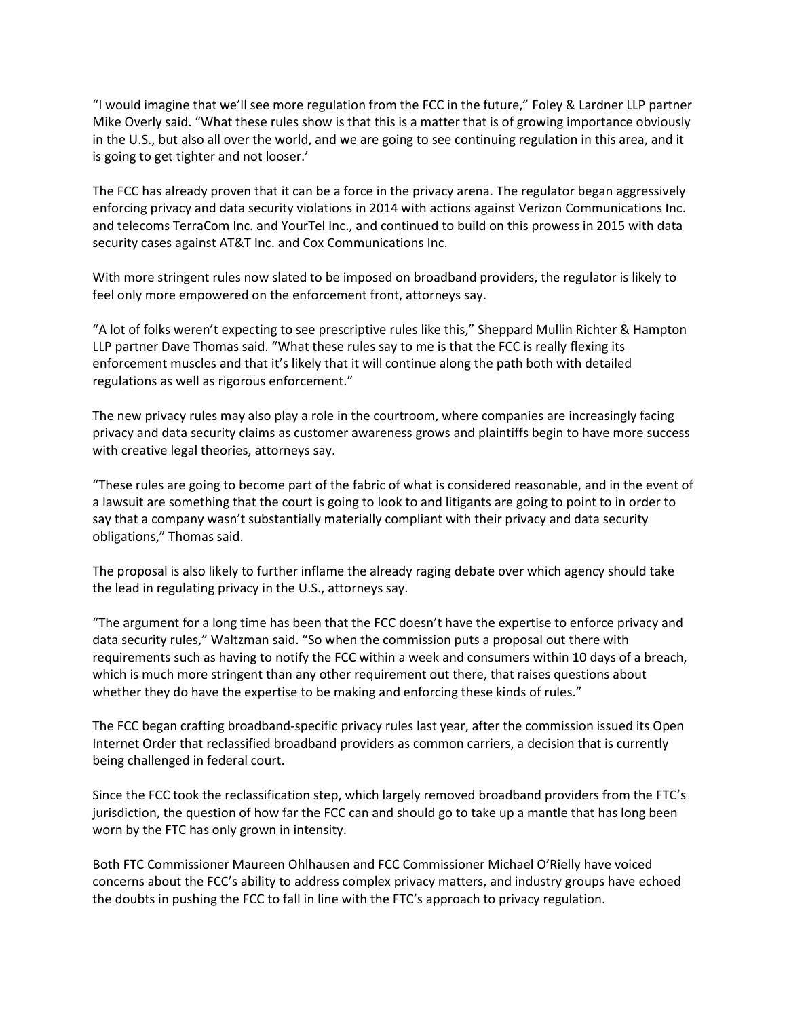"I would imagine that we'll see more regulation from the FCC in the future," Foley & Lardner LLP partner Mike Overly said. "What these rules show is that this is a matter that is of growing importance obviously in the U.S., but also all over the world, and we are going to see continuing regulation in this area, and it is going to get tighter and not looser.'

The FCC has already proven that it can be a force in the privacy arena. The regulator began aggressively enforcing privacy and data security violations in 2014 with actions against Verizon Communications Inc. and telecoms TerraCom Inc. and YourTel Inc., and continued to build on this prowess in 2015 with data security cases against AT&T Inc. and Cox Communications Inc.

With more stringent rules now slated to be imposed on broadband providers, the regulator is likely to feel only more empowered on the enforcement front, attorneys say.

"A lot of folks weren't expecting to see prescriptive rules like this," Sheppard Mullin Richter & Hampton LLP partner Dave Thomas said. "What these rules say to me is that the FCC is really flexing its enforcement muscles and that it's likely that it will continue along the path both with detailed regulations as well as rigorous enforcement."

The new privacy rules may also play a role in the courtroom, where companies are increasingly facing privacy and data security claims as customer awareness grows and plaintiffs begin to have more success with creative legal theories, attorneys say.

"These rules are going to become part of the fabric of what is considered reasonable, and in the event of a lawsuit are something that the court is going to look to and litigants are going to point to in order to say that a company wasn't substantially materially compliant with their privacy and data security obligations," Thomas said.

The proposal is also likely to further inflame the already raging debate over which agency should take the lead in regulating privacy in the U.S., attorneys say.

"The argument for a long time has been that the FCC doesn't have the expertise to enforce privacy and data security rules," Waltzman said. "So when the commission puts a proposal out there with requirements such as having to notify the FCC within a week and consumers within 10 days of a breach, which is much more stringent than any other requirement out there, that raises questions about whether they do have the expertise to be making and enforcing these kinds of rules."

The FCC began crafting broadband-specific privacy rules last year, after the commission issued its Open Internet Order that reclassified broadband providers as common carriers, a decision that is currently being challenged in federal court.

Since the FCC took the reclassification step, which largely removed broadband providers from the FTC's jurisdiction, the question of how far the FCC can and should go to take up a mantle that has long been worn by the FTC has only grown in intensity.

Both FTC Commissioner Maureen Ohlhausen and FCC Commissioner Michael O'Rielly have voiced concerns about the FCC's ability to address complex privacy matters, and industry groups have echoed the doubts in pushing the FCC to fall in line with the FTC's approach to privacy regulation.